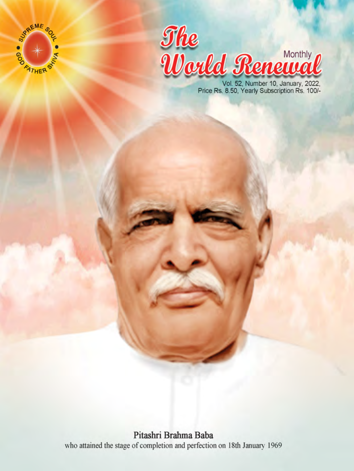



Vol. 52, Number 10, January, 2022,<br>Price Rs. 8.50, Yearly Subscription Rs. 100/-

Pitashri Brahma Baba who attained the stage of completion and perfection on 18th January 1969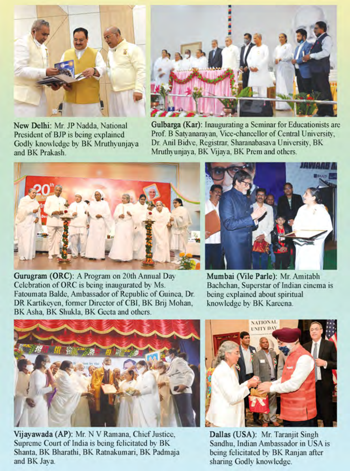

New Delhi: Mr. JP Nadda, National President of BJP is being explained Godly knowledge by BK Mruthyunjaya and BK Prakash.



**Gulbarga** (Kar): Inaugurating a Seminar for Educationists are Prof. B Satvanaravan, Vice-chancellor of Central University, Dr. Anil Bidve, Registrar, Sharanabasava University, BK Mruthyunjaya, BK Vijaya, BK Prem and others.





Gurugram (ORC): A Program on 20th Annual Day Celebration of ORC is being inaugurated by Ms. Fatoumata Balde, Ambassador of Republic of Guinea, Dr. DR Kartikeyen, former Director of CBI, BK Brij Mohan, BK Asha, BK Shukla, BK Geeta and others.

Mumbai (Vile Parle): Mr. Amitabh Bachchan, Superstar of Indian cinema is being explained about spiritual knowledge by BK Kareena.



Vijayawada (AP): Mr. N V Ramana, Chief Justice, Supreme Court of India is being felicitated by BK Shanta, BK Bharathi, BK Ratnakumari, BK Padmaja and BK Jaya.



Dallas (USA): Mr. Taranjit Singh Sandhu, Indian Ambassador in USA is being felicitated by BK Ranjan after sharing Godly knowledge.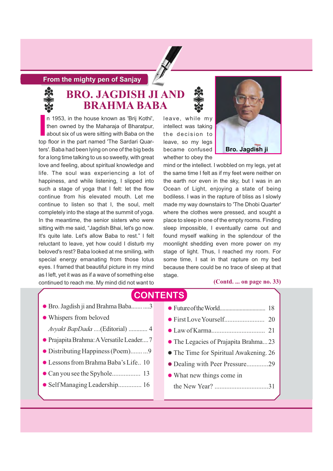#### **From the mighty pen of Sanjay**



### **BRO. JAGDISH JI AND BRAHMA BABA**

In 1953, in the house known as 'Brij Kothi', then owned by the Maharaja of Bharatpur, about six of us were sitting with Baba on the top floor in the part named 'The Sardari Quarn 1953, in the house known as 'Brij Kothi', then owned by the Maharaja of Bharatpur, about six of us were sitting with Baba on the ters'. Baba had been lying on one of the big beds for a long time talking to us so sweetly, with great love and feeling, about spiritual knowledge and life. The soul was experiencing a lot of happiness, and while listening, I slipped into such a stage of yoga that I felt: let the flow continue from his elevated mouth. Let me continue to listen so that I, the soul, melt completely into the stage at the summit of yoga. In the meantime, the senior sisters who were sitting with me said, "Jagdish Bhai, let's go now. It's quite late. Let's allow Baba to rest." I felt reluctant to leave, yet how could I disturb my beloved's rest? Baba looked at me smiling, with special energy emanating from those lotus eyes. I framed that beautiful picture in my mind as I left, yet it was as if a wave of something else continued to reach me. My mind did not want to

leave, while my intellect was taking the decision to leave, so my legs became confused whether to obey the



mind or the intellect. I wobbled on my legs, yet at the same time I felt as if my feet were neither on the earth nor even in the sky, but I was in an Ocean of Light, enjoying a state of being bodiless. I was in the rapture of bliss as I slowly made my way downstairs to 'The Dhobi Quarter' where the clothes were pressed, and sought a place to sleep in one of the empty rooms. Finding sleep impossible, I eventually came out and found myself walking in the splendour of the moonlight shedding even more power on my stage of light. Thus, I reached my room. For some time, I sat in that rapture on my bed because there could be no trace of sleep at that stage.

#### **(Contd. ... on page no. 33)**

### **CONTENTS**

- Bro. Jagdish ji and Brahma Baba...........3
- Whispers from beloved
	- *Avyakt BapDada ....*(Editorial) ............ 4
- PrajapitaBrahma:AVersatileLeader....7
- Distributing Happiness (Poem)....... ...9
- Lessons from Brahma Baba's Life.. 10
- Can you see the Spyhole................. 13
- Self Managing Leadership.............. 16
- FutureoftheWorld................................ 18 - First LoveYourself........................ 20 - Law of Karma................................ 21 - The Legacies of Prajapita Brahma...23 - The Time for Spiritual Awakening. 26 - Dealing with Peer Pressure.............29 - What new things come in the New Year? ................................31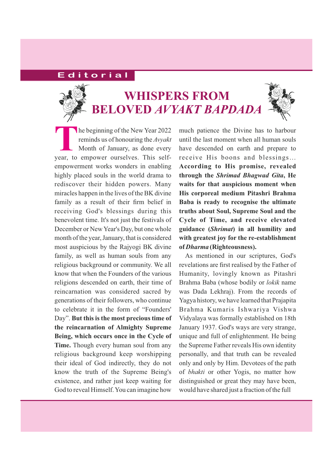### **E d i t o r i a l**



## **WHISPERS FROM BELOVED** *AVYAKT BAPDADA*



much patience the Divine has to harbour until the last moment when all human souls have descended on earth and prepare to receive His boons and blessings… **According to His promise, revealed** through the *Shrimad Bhagwad Gita*, He **waits for that auspicious moment when His corporeal medium Pitashri Brahma Baba is ready to recognise the ultimate truths about Soul, Supreme Soul and the Cycle of Time, and receive elevated** guidance (Shrimat) in all humility and **with greatest joy for the re-establishment** of *Dharma* (Righteousness).

As mentioned in our scriptures, God's revelations are first realised by the Father of Humanity, lovingly known as Pitashri Brahma Baba (whose bodily or *lokik* name was Dada Lekhraj). From the records of Yagya history, we have learned that Prajapita Brahma Kumaris Ishwariya Vishwa Vidyalaya was formally established on 18th January 1937. God's ways are very strange, unique and full of enlightenment. He being the Supreme Father reveals His own identity personally, and that truth can be revealed only and only by Him. Devotees of the path of *bhakti* or other Yogis, no matter how distinguished or great they may have been, would have shared just a fraction of the full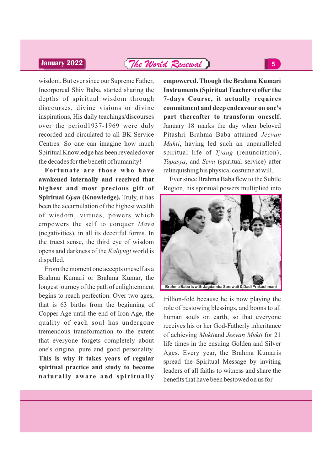### **January 2022** *The World Renewal* **<sup>5</sup>**

wisdom. But ever since our Supreme Father, Incorporeal Shiv Baba, started sharing the depths of spiritual wisdom through discourses, divine visions or divine inspirations, His daily teachings/discourses over the period1937-1969 were duly recorded and circulated to all BK Service Centres. So one can imagine how much Spiritual Knowledge has been revealed over the decades for the benefit of humanity!

**Fortunate are those who have awakened internally and received that highest and most precious gift of Spiritual Gyan (Knowledge).** Truly, it has been the accumulation of the highest wealth of wisdom, virtues, powers which empowers the self to conquer *Maya* (negativities), in all its deceitful forms. In the truest sense, the third eye of wisdom opens and darkness of the *Kaliyugi* world is dispelled.

From the moment one accepts oneself as a Brahma Kumari or Brahma Kumar, the longest journey of the path of enlightenment begins to reach perfection. Over two ages, that is 63 births from the beginning of Copper Age until the end of Iron Age, the quality of each soul has undergone tremendous transformation to the extent that everyone forgets completely about one's original pure and good personality. **This is why it takes years of regular spiritual practice and study to become naturally aware and spiritually**

**empowered. Though the Brahma Kumari Instruments (Spiritual Teachers) offer the 7-days Course, it actually requires commitment and deep endeavour on one's part thereafter to transform oneself.** January 18 marks the day when beloved Pitashri Brahma Baba attained *Jeevan Mukti*, having led such an unparalleled spiritual life of Tyaag (renunciation), *Tapasya*, and *Seva* (spiritual service) after relinquishing his physical costume at will.

Ever since Brahma Baba flew to the Subtle Region, his spiritual powers multiplied into



trillion-fold because he is now playing the role of bestowing blessings, and boons to all human souls on earth, so that everyone receives his or her God-Fatherly inheritance of achieving Muktiand Jeevan Mukti for 21 life times in the ensuing Golden and Silver Ages. Every year, the Brahma Kumaris spread the Spiritual Message by inviting leaders of all faiths to witness and share the benefits that have been bestowed on us for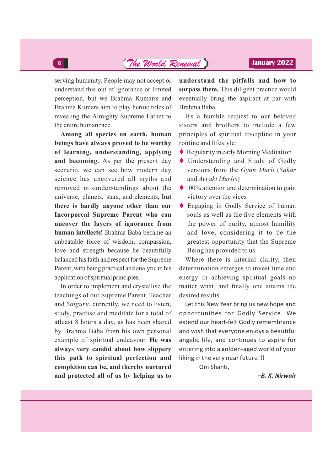### *The World Renewal* **<sup>6</sup> January 2022**

serving humanity. People may not accept or understand this out of ignorance or limited perception, but we Brahma Kumaris and Brahma Kumars aim to play heroic roles of revealing the Almighty Supreme Father to the entire human race.

**Among all species on earth, human beings have always proved to be worthy of learning, understanding, applying and becoming.** As per the present day scenario, we can see how modern day science has uncovered all myths and removed misunderstandings about the universe, planets, stars, and elements, **but there is hardly anyone other than our Incorporeal Supreme Parent who can uncover the layers of ignorance from human intellects!** Brahma Baba became an unbeatable force of wisdom, compassion, love and strength because he beautifully balanced his faith and respect for the Supreme Parent, with being practical and analytic in his application of spiritual principles.

In order to implement and crystallise the teachings of our Supreme Parent, Teacher and *Satguru*, currently, we need to listen, study, practise and meditate for a total of atleast 8 hours a day, as has been shared by Brahma Baba from his own personal example of spiritual endeavour. **He was always very candid about how slippery this path to spiritual perfection and completion can be, and thereby nurtured and protected all of us by helping us to**

**understand the pitfalls and how to surpass them.** This diligent practice would eventually bring the aspirant at par with Brahma Baba.

It's a humble request to our beloved sisters and brothers to include a few principles of spiritual discipline in your routine and lifestyle:

- ◆ Regularity in early Morning Meditation
- Understanding and Study of Godly versions from the Gyan Murli (Sakar and *Avyakt Murlis*)
- $\triangle$  100% attention and determination to gain victory over the vices
- Engaging in Godly Service of human souls as well as the five elements with the power of purity, utmost humility and love, considering it to be the greatest opportunity that the Supreme Being has provided to us.

Where there is internal clarity, then determination emerges to invest time and energy in achieving spiritual goals no matter what, and finally one attains the desired results.

Let this New Year bring us new hope and opportunities for Godly Service. We extend our heart-felt Godly remembrance and wish that everyone enjoys a beautiful angelic life, and continues to aspire for entering into a golden-aged world of your liking in the very near future!!!

Om Shanti,

*–B. K. Nirwair*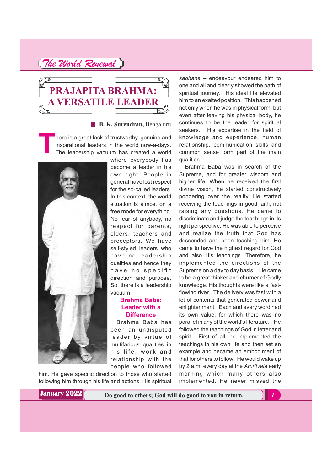

**B. K. Surendran,** Bengaluru

here is a great lack of trustworthy, genuine and inspirational leaders in the world now-a-days. The leadership vacuum has created a world



where everybody has become a leader in his own right. People in general have lost respect for the so-called leaders. In this context, the world situation is almost on a free mode for everything. No fear of anybody, no respect for parents, elders, teachers and preceptors. We have self-styled leaders who have no leadership qualities and hence they have no specific direction and purpose. So, there is a leadership vacuum.

#### **Brahma Baba: Leader with a Difference**

Brahma Baba has been an undisputed leader by virtue of multifarious qualities in his life, work and relationship with the people who followed

him. He gave specific direction to those who started following him through his life and actions. His spiritual

*sadhana* – endeavour endeared him to one and all and clearly showed the path of spiritual journey. His ideal life elevated him to an exalted position. This happened not only when he was in physical form, but even after leaving his physical body, he continues to be the leader for spiritual seekers. His expertise in the field of knowledge and experience, human relationship, communication skills and common sense form part of the main qualities.

Brahma Baba was in search of the Supreme, and for greater wisdom and higher life. When he received the first divine vision, he started constructively pondering over the reality. He started receiving the teachings in good faith, not raising any questions. He came to discriminate and judge the teachings in its right perspective. He was able to perceive and realize the truth that God has descended and been teaching him. He came to have the highest regard for God and also His teachings. Therefore, he implemented the directions of the Supreme on a day to day basis. He came to be a great thinker and churner of Godly knowledge. His thoughts were like a fastflowing river. The delivery was fast with a lot of contents that generated power and enlightenment. Each and every word had its own value, for which there was no parallel in any of the world's literature. He followed the teachings of God in letter and spirit. First of all, he implemented the teachings in his own life and then set an example and became an embodiment of that for others to follow. He would wake up by 2 a.m. every day at the Amritvela early morning which many others also implemented. He never missed the

**January 2022**

**Do good to others; God will do good to you in return. 7**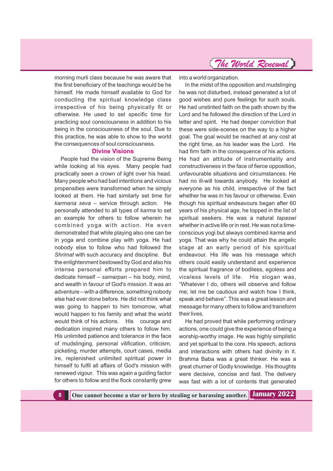

morning murli class because he was aware that the first beneficiary of the teachings would be he himself. He made himself available to God for conducting the spiritual knowledge class irrespective of his being physically fit or otherwise. He used to set specific time for practicing soul consciousness in addition to his being in the consciousness of the soul. Due to this practice, he was able to show to the world the consequences of soul consciousness.

#### **Divine Visions**

People had the vision of the Supreme Being while looking at his eyes. Many people had practically seen a crown of light over his head. Many people who had bad intentions and vicious propensities were transformed when he simply looked at them. He had similarly set time for *karmana seva* – service through action. He personally attended to all types of karma to set an example for others to follow wherein he combined yoga with action. He even demonstrated that while playing also one can be in yoga and combine play with yoga. He had nobody else to follow who had followed the *Shrimat* with such accuracy and discipline. But the enlightenment bestowed by God and also his intense personal efforts prepared him to dedicate himself – samarpan – his body, mind, and wealth in favour of God's mission. It was an adventure – with a difference, something nobody else had ever done before. He did not think what was going to happen to him tomorrow, what would happen to his family and what the world would think of his actions. His courage and dedication inspired many others to follow him. His unlimited patience and tolerance in the face of mudslinging, personal vilification, criticism, picketing, murder attempts, court cases, media ire, replenished unlimited spiritual power in himself to fulfil all affairs of God's mission with renewed vigour. This was again a guiding factor for others to follow and the flock constantly grew

into a world organization.

In the midst of the opposition and mudslinging he was not disturbed, instead generated a lot of good wishes and pure feelings for such souls. He had unstinted faith on the path shown by the Lord and he followed *the* direction of the Lord in letter and spirit. He had deeper conviction that these were side-scenes on the way to a higher goal. The goal would be reached at any cost at the right time, as his leader was the Lord. He had firm faith in the consequence of his actions. He had an attitude of instrumentality and constructiveness in the face of fierce opposition, unfavourable situations and circumstances. He had no ill-will towards anybody. He looked at everyone as his child, irrespective of the fact whether he was in his favour or otherwise. Even though his spiritual endeavours began after 60 years of his physical age, he topped in the list of spiritual seekers. He was a natural *tapaswi* whether in active life or in rest. He was not a timeconscious yogi but always combined *karma* and yoga. That was why he could attain the angelic stage at an early period of his spiritual endeavour. His life was his message which others could easily understand and experience the spiritual fragrance of bodiless, egoless and viceless levels of life. His slogan was, "Whatever I do, others will observe and follow me; let me be cautious and watch how I think, speak and behave". This was a great lesson and message for many others to follow and transform their lives.

He had proved that while performing ordinary actions, one could give the experience of being a worship-worthy image. He was highly simplistic and yet spiritual to the core. His speech, actions and interactions with others had divinity in it. Brahma Baba was a great thinker. He was a great churner of Godly knowledge. His thoughts were decisive, concise and fast. The delivery was fast with a lot of contents that generated

**8 One cannot become a star or hero by stealing or harassing another. January 2022**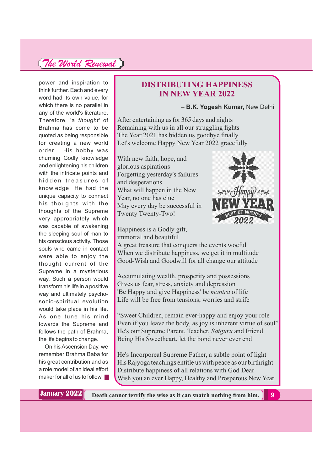power and inspiration to think further. Each and every word had its own value, for which there is no parallel in any of the world's literature. Therefore, 'a *thought'* of Brahma has come to be quoted as being responsible for creating a new world order. His hobby was churning Godly knowledge and enlightening his children with the intricate points and hidden treasures of knowledge. He had the unique capacity to connect his thoughts with the thoughts of the Supreme very appropriately which was capable of awakening the sleeping soul of man to his conscious activity. Those souls who came in contact were able to enjoy the thought current of the Supreme in a mysterious way. Such a person would transform his life in a positive way and ultimately psychosocio-spiritual evolution would take place in his life. As one tune his mind towards the Supreme and follows the path of Brahma, the life begins to change.

On his Ascension Day, we remember Brahma Baba for his great contribution and as a role model of an ideal effort maker for all of us to follow.

#### **DISTRIBUTING HAPPINESS IN NEW YEAR 2022**

#### – **B.K. Yogesh Kumar,** New Delhi

After entertaining us for 365 days and nights Remaining with us in all our struggling fights The Year 2021 has bidden us goodbye finally Let's welcome Happy New Year 2022 gracefully

With new faith, hope, and glorious aspirations Forgetting yesterday's failures and desperations What will happen in the New Year, no one has clue May every day be successful in Twenty Twenty-Two!

Happiness is a Godly gift, immortal and beautiful



A great treasure that conquers the events woeful When we distribute happiness, we get it in multitude Good-Wish and Goodwill for all change our attitude

Accumulating wealth, prosperity and possessions Gives us fear, stress, anxiety and depression 'Be Happy and give Happiness' be *mantra* of life Life will be free from tensions, worries and strife

"Sweet Children, remain ever-happy and enjoy your role Even if you leave the body, as joy is inherent virtue of soul" He's our Supreme Parent, Teacher, Satguru and Friend Being His Sweetheart, let the bond never ever end

He's Incorporeal Supreme Father, a subtle point of light His Rajyoga teachings entitle us with peace as our birthright Distribute happiness of all relations with God Dear Wish you an ever Happy, Healthy and Prosperous New Year

**January 2022**

**Death cannot terrify the wise as it can snatch nothing from him. 9**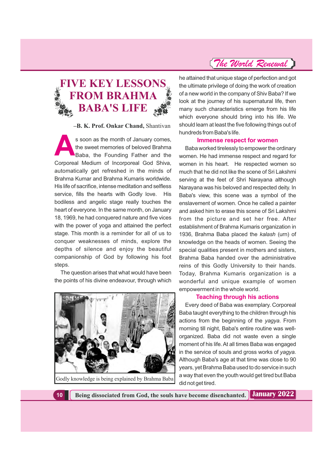### **FIVE KEY LESSONS FROM BRAHMA BABA'S LIFE**

**–B. K. Prof. Onkar Chand,** Shantivan

s soon as the month of January comes,<br>the sweet memories of beloved Brahma<br>Baba, the Founding Father and the the sweet memories of beloved Brahma Baba, the Founding Father and the Corporeal Medium of Incorporeal God Shiva, automatically get refreshed in the minds of Brahma Kumar and Brahma Kumaris worldwide. His life of sacrifice, intense meditation and selfless service, fills the hearts with Godly love. His bodiless and angelic stage really touches the heart of everyone. In the same month, on January 18, 1969, he had conquered nature and five vices with the power of yoga and attained the perfect stage. This month is a reminder for all of us to conquer weaknesses of minds, explore the depths of silence and enjoy the beautiful companionship of God by following his foot steps.

The question arises that what would have been the points of his divine endeavour, through which



Godly knowledge is being explained by Brahma Baba

he attained that unique stage of perfection and got the ultimate privilege of doing the work of creation of a new world in the company of Shiv Baba? If we look at the journey of his supernatural life, then many such characteristics emerge from his life which everyone should bring into his life. We should learn at least the five following things out of hundreds from Baba's life.

#### **Immense respect for women**

Baba worked tirelessly to empower the ordinary women. He had immense respect and regard for women in his heart. He respected women so much that he did not like the scene of Sri Lakshmi serving at the feet of Shri Narayana although Narayana was his beloved and respected deity. In Baba's view, this scene was a symbol of the enslavement of women. Once he called a painter and asked him to erase this scene of Sri Lakshmi from the picture and set her free. After establishment of Brahma Kumaris organization in 1936, Brahma Baba placed the kalash (urn) of knowledge on the heads of women. Seeing the special qualities present in mothers and sisters, Brahma Baba handed over the administrative reins of this Godly University to their hands. Today, Brahma Kumaris organization is a wonderful and unique example of women empowerment in the whole world.

#### **Teaching through his actions**

Every deed of Baba was exemplary. Corporeal Baba taught everything to the children through his actions from the beginning of the yagya. From morning till night, Baba's entire routine was wellorganized. Baba did not waste even a single moment of his life. At all times Baba was engaged in the service of souls and gross works of *yagya.* Although Baba's age at that time was close to 90 years, yet Brahma Baba used to do service in such a way that even the youth would get tired but Baba did not get tired.

**10 Being dissociated from God, the souls have become disenchanted. January 2022**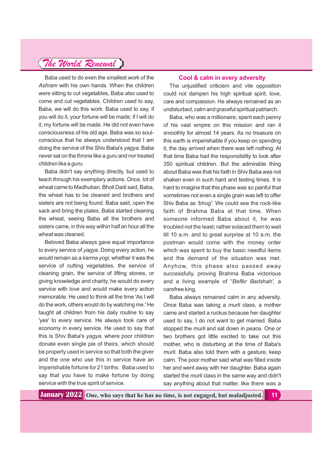Baba used to do even the smallest work of the *Ashram* with his own hands. When the children were sitting to cut vegetables, Baba also used to come and cut vegetables. Children used to say, Baba, we will do this work. Baba used to say, if you will do it, your fortune will be made; if I will do it, my fortune will be made. He did not even have consciousness of his old age. Baba was so soulconscious that he always understood that I am doing the service of the Shiv Baba's yagya. Baba never sat on the throne like a *guru* and nor treated children like a *guru*.

Baba didn't say anything directly, but used to teach through his exemplary actions. Once, lot of wheat came to Madhuban. Bholi Dadi said, Baba, the wheat has to be cleaned and brothers and sisters are not being found. Baba said, open the sack and bring the plates. Baba started cleaning the wheat, seeing Baba all the brothers and sisters came, in this way within half an hour all the wheat was cleaned.

Beloved Baba always gave equal importance to every service of yagya. Doing every action, he would remain as a karma yogi, whether it was the service of cutting vegetables, the service of cleaning grain, the service of lifting stones, or giving knowledge and charity, he would do every service with love and would make every action memorable. He used to think all the time 'As I will do the work, others would do by watching me.' He taught all children from his daily routine to say 'yes' to every service. He always took care of economy in every service. He used to say that this is Shiv Baba's *yagya*, where poor children donate even single pie of theirs, which should be properly used in service so that both the giver and the one who use this in service have an imperishable fortune for 21 births. Baba used to say that you have to make fortune by doing service with the true spirit of service.

#### **Cool & calm in every adversity**

The unjustified criticism and vile opposition could not dampen his high spiritual spirit, love, care and compassion. He always remained as an undisturbed, calm and graceful spiritual patriarch.

Baba, who was a millionaire, spent each penny of his vast empire on this mission and ran it smoothly for almost 14 years. As no treasure on this earth is imperishable if you keep on spending it, the day arrived when there was left nothing. At that time Baba had the responsibility to look after 350 spiritual children. But the admirable thing about Baba was that his faith in Shiv Baba was not shaken even in such hard and testing times. It is hard to imagine that this phase was so painful that sometimes not even a single grain was left to offer Shiv Baba as 'bhog'. We could see the rock-like faith of Brahma Baba at that time. When someone informed Baba about it, he was troubled not the least; rather solaced them to wait till 10 a.m. and to great surprise at 10 a.m. the postman would come with the money order which was spent to buy the basic needful items and the demand of the situation was met. Anyhow, this phase also passed away successfully, proving Brahma Baba victorious and a living example of "Befikr Badshah', a carefree king.

Baba always remained calm in any adversity. Once Baba was taking a *murli* class, a mother came and started a ruckus because her daughter used to say, I do not want to get married. Baba stopped the *murli* and sat down in peace. One or two brothers got little excited to take out this mother, who is disturbing at the time of Baba's *murli*. Baba also told them with a gesture, keep calm. The poor mother said what was filled inside her and went away with her daughter. Baba again started the *murli* class in the same way and didn't say anything about that matter, like there was a

**One, who says that he has no time, is not engaged, but maladjusted. 11 January 2022**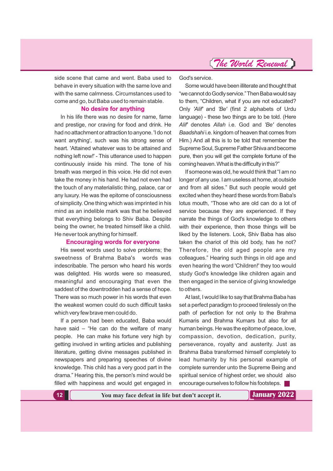side scene that came and went. Baba used to behave in every situation with the same love and with the same calmness. Circumstances used to come and go, but Baba used to remain stable.

#### **No desire for anything**

In his life there was no desire for name, fame and prestige, nor craving for food and drink. He had no attachment or attraction to anyone. 'I do not want anything', such was his strong sense of heart. 'Attained whatever was to be attained and nothing left now!' - This utterance used to happen continuously inside his mind. The tone of his breath was merged in this voice. He did not even take the money in his hand. He had not even had the touch of any materialistic thing, palace, car or any luxury. He was the epitome of consciousness of simplicity. One thing which was imprinted in his mind as an indelible mark was that he believed that everything belongs to Shiv Baba. Despite being the owner, he treated himself like a child. He never took anything for himself.

#### **Encouraging words for everyone**

His sweet words used to solve problems; the sweetness of Brahma Baba's words was indescribable. The person who heard his words was delighted. His words were so measured, meaningful and encouraging that even the saddest of the downtrodden had a sense of hope. There was so much power in his words that even the weakest women could do such difficult tasks which veryfew brave men could do.

If a person had been educated, Baba would have said – "He can do the welfare of many people. He can make his fortune very high by getting involved in writing articles and publishing literature, getting divine messages published in newspapers and preparing speeches of divine knowledge. This child has a very good part in the drama." Hearing this, the person's mind would be filled with happiness and would get engaged in

God's service.

Some would have been illiterate and thought that "we cannot do Godly service." Then Baba would say to them, "Children, what if you are not educated? Only 'Alif' and 'Be' (first 2 alphabets of Urdu language) - these two things are to be told. (Here Alif' denotes Allah *i.e.* God and 'Be' denotes *Baadshahi* i.e. kingdom of heaven that comes from Him.) And all this is to be told that remember the Supreme Soul, Supreme Father Shiva and become pure, then you will get the complete fortune of the coming heaven. What is the difficulty in this?"

If someone was old, he would think that "I am no longer of any use. I am useless at home, at outside and from all sides." But such people would get excited when they heard these words from Baba's lotus mouth, "Those who are old can do a lot of service because they are experienced. If they narrate the things of God's knowledge to others with their experience, then those things will be liked by the listeners. Look, Shiv Baba has also taken the chariot of this old body, has he not? Therefore, the old aged people are my colleagues." Hearing such things in old age and even hearing the word 'Children!' they too would study God's knowledge like children again and then engaged in the service of giving knowledge to others.

At last, I would like to say that Brahma Baba has set a perfect paradigm to proceed tirelessly on the path of perfection for not only to the Brahma Kumaris and Brahma Kumars but also for all human beings. He was the epitome of peace, love, compassion, devotion, dedication, purity, perseverance, royalty and austerity. Just as Brahma Baba transformed himself completely to lead humanity by his personal example of complete surrender unto the Supreme Being and spiritual service of highest order, we should also encourage ourselvesto follow hisfootsteps.

**12 You may face defeat in life but don't accept it. January 2022**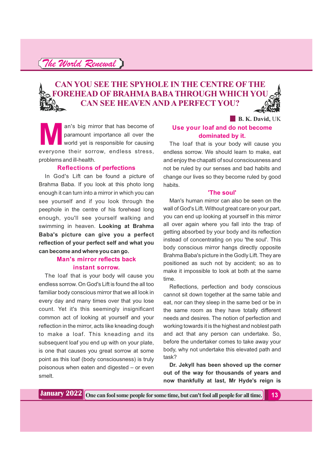### **CAN YOU SEE THE SPYHOLE IN THE CENTRE OF THE FOREHEAD OF BRAHMA BABA THROUGH WHICH YOU CAN SEE HEAVEN AND A PERFECT YOU?**

**B. K. David, UK** 

an's big mirror that has become of<br>paramount importance all over the<br>world yet is responsible for causing<br>everyone their sorrow, endless stress paramount importance all over the world yet is responsible for causing everyone their sorrow, endless stress, problems and ill-health.

#### **Reflections of perfections**

In God's Lift can be found a picture of Brahma Baba. If you look at this photo long enough it can turn into a mirror in which you can see yourself and if you look through the peephole in the centre of his forehead long enough, you'll see yourself walking and swimming in heaven. **Looking at Brahma Baba's picture can give you a perfect reflection of your perfect self and what you can become and where you can go.**

#### **Man's mirror reflects back instant sorrow.**

The loaf that is your body will cause you endless sorrow. On God's Lift is found the all too familiar body conscious mirror that we all look in every day and many times over that you lose count. Yet it's this seemingly insignificant common act of looking at yourself and your reflection in the mirror, acts like kneading dough to make a loaf. This kneading and its subsequent loaf you end up with on your plate, is one that causes you great sorrow at some point as this loaf (body consciousness) is truly poisonous when eaten and digested – or even smelt.

#### **Use your loaf and do not become dominated by it.**

The loaf that is your body will cause you endless sorrow. We should learn to make, eat and enjoy the chapatti of soul consciousness and not be ruled by our senses and bad habits and change our lives so they become ruled by good habits.

#### **'The soul'**

Man's human mirror can also be seen on the wall of God's Lift. Without great care on your part, you can end up looking at yourself in this mirror all over again where you fall into the trap of getting absorbed by your body and its reflection instead of concentrating on you 'the soul'. This body conscious mirror hangs directly opposite Brahma Baba's picture in the Godly Lift. They are positioned as such not by accident; so as to make it impossible to look at both at the same time.

Reflections, perfection and body conscious cannot sit down together at the same table and eat, nor can they sleep in the same bed or be in the same room as they have totally different needs and desires. The notion of perfection and working towards it is the highest and noblest path and act that any person can undertake. So, before the undertaker comes to take away your body, why not undertake this elevated path and task?

**Dr. Jekyll has been shoved up the corner out of the way for thousands of years and now thankfully at last, Mr Hyde's reign is**

**One can fool some people for some time, but can't fool all people for all time. 13 January 2022**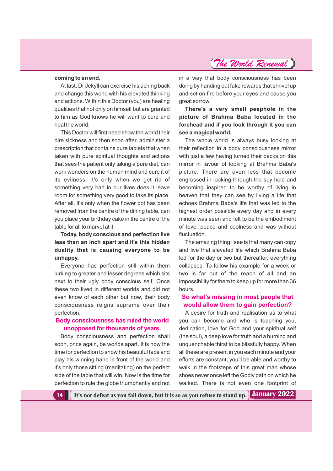#### **coming to an end.**

At last, Dr Jekyll can exercise his aching back and change this world with his elevated thinking and actions. Within this Doctor (you) are healing qualities that not only on himself but are granted to him as God knows he will want to cure and heal the world.

This Doctor will first need show the world their dire sickness and then soon after, administer a prescription that contains pure tablets that when taken with pure spiritual thoughts and actions that sees the patient only taking a pure diet, can work wonders on the human mind and cure it of its evilness. It's only when we get rid of something very bad in our lives does it leave room for something very good to take its place. After all, it's only when the flower pot has been removed from the centre of the dining table, can you place your birthday cake in the centre of the table for all to marvel at it.

#### **Today, body conscious and perfection live less than an inch apart and it's this hidden duality that is causing everyone to be unhappy.**

Everyone has perfection still within them lurking to greater and lesser degrees which sits next to their ugly body conscious self. Once these two lived in different worlds and did not even know of each other but now, their body consciousness reigns supreme over their perfection.

#### **Body consciousness has ruled the world unopposed for thousands of years.**

Body consciousness and perfection shall soon, once again, be worlds apart. It is now the time for perfection to show his beautiful face and play his winning hand in front of the world and it's only those sitting (meditating) on the perfect side of the table that will win. Now is the time for perfection to rule the globe triumphantly and not in a way that body consciousness has been doing by handing out fake rewards that shrivel up and set on fire before your eyes and cause you great sorrow.

**There's a very small peephole in the picture of Brahma Baba located in the forehead and if you look through it you can see a magical world.**

The whole world is always busy looking at their reflection in a body consciousness mirror with just a few having turned their backs on this mirror in favour of looking at Brahma Baba's picture. There are even less that become engrossed in looking through the spy hole and becoming inspired to be worthy of living in heaven that they can see by living a life that echoes Brahma Baba's life that was led to the highest order possible every day and in every minute was seen and felt to be the embodiment of love, peace and coolness and was without fluctuation.

The amazing thing I see is that many can copy and live that elevated life which Brahma Baba led for the day or two but thereafter, everything collapses. To follow his example for a week or two is far out of the reach of all and an impossibility for them to keep up for more than 36 hours.

#### **So what's missing in most people that would allow them to gain perfection?**

A desire for truth and realisation as to what you can become and who is teaching you, dedication, love for God and your spiritual self (the soul), a deep love for truth and a burning and unquenchable thirst to be blissfully happy. When all these are present in you each minute and your efforts are constant, you'll be able and worthy to walk in the footsteps of this great man whose shoes never once left the Godly path on which he walked. There is not even one footprint of

**14 It's not defeat as you fall down, but it is so as you refuse to stand up. January 2022**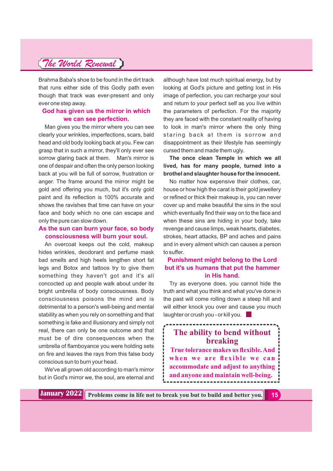Brahma Baba's shoe to be found in the dirt track that runs either side of this Godly path even though that track was ever-present and only ever one step away.

#### **God has given us the mirror in which we can see perfection.**

Man gives you the mirror where you can see clearly your wrinkles, imperfections, scars, bald head and old body looking back at you. Few can grasp that in such a mirror, they'll only ever see sorrow glaring back at them. Man's mirror is one of despair and often the only person looking back at you will be full of sorrow, frustration or anger. The frame around the mirror might be gold and offering you much, but it's only gold paint and its reflection is 100% accurate and shows the ravishes that time can have on your face and body which no one can escape and only the pure can slow down.

#### **As the sun can burn your face, so body consciousness will burn your soul.**

An overcoat keeps out the cold, makeup hides wrinkles, deodorant and perfume mask bad smells and high heels lengthen short fat legs and Botox and tattoos try to give them something they haven't got and it's all concocted up and people walk about under its bright umbrella of body consciousness. Body consciousness poisons the mind and is detrimental to a person's well-being and mental stability as when you rely on something and that something is fake and illusionary and simply not real, there can only be one outcome and that must be of dire consequences when the umbrella of flamboyance you were holding sets on fire and leaves the rays from this false body conscious sun to burn your head.

We've all grown old according to man's mirror but in God's mirror we, the soul, are eternal and although have lost much spiritual energy, but by looking at God's picture and getting lost in His image of perfection, you can recharge your soul and return to your perfect self as you live within the parameters of perfection. For the majority they are faced with the constant reality of having to look in man's mirror where the only thing staring back at them is sorrow and disappointment as their lifestyle has seemingly cursed them and made them ugly.

**The once clean Temple in which we all lived, has for many people, turned into a brothel and slaughter house for the innocent.**

No matter how expensive their clothes, car, house or how high the carat is their gold jewellery or refined or thick their makeup is, you can never cover up and make beautiful the sins in the soul which eventually find their way on to the face and when these sins are hiding in your body, take revenge and cause limps, weak hearts, diabetes, strokes, heart attacks, BP and aches and pains and in every ailment which can causes a person to suffer.

#### **Punishment might belong to the Lord but it's us humans that put the hammer in His hand.**

Try as everyone does, you cannot hide the truth and what you think and what you've done in the past will come rolling down a steep hill and will either knock you over and cause you much laughter or crush you - or kill you.

### **The ability to bend without breaking True tolerance makes us flexible.And when we are flexible we can accommodate and adjust to anything and anyone and maintain well-being.**

**January 2022 Problems come in life not to break you but to build and better you.** 15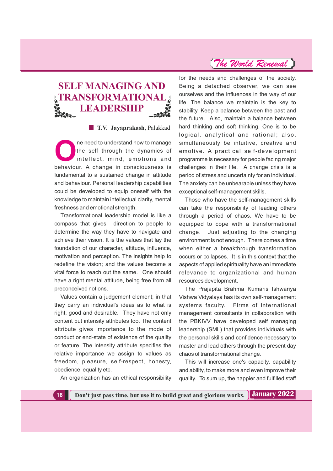### **SELF MANAGING AND TRANSFORMATIONAL LEADERSHIP**

**T.V. Jayaprakash,** Palakkad

The need to understand how to manage<br>the self through the dynamics of<br>intellect, mind, emotions and<br>hohowiour A shange in consciousness is the self through the dynamics of intellect, mind, emotions and behaviour. A change in consciousness is fundamental to a sustained change in attitude and behaviour. Personal leadership capabilities could be developed to equip oneself with the knowledge to maintain intellectual clarity, mental freshness and emotional strength.

Transformational leadership model is like a compass that gives direction to people to determine the way they have to navigate and achieve their vision. It is the values that lay the foundation of our character, attitude, influence, motivation and perception. The insights help to redefine the vision; and the values become a vital force to reach out the same. One should have a right mental attitude, being free from all preconceived notions.

Values contain a judgement element; in that they carry an individual's ideas as to what is right, good and desirable. They have not only content but intensity attributes too. The content attribute gives importance to the mode of conduct or end-state of existence of the quality or feature. The intensity attribute specifies the relative importance we assign to values as freedom, pleasure, self-respect, honesty, obedience, equality etc.

An organization has an ethical responsibility

for the needs and challenges of the society. Being a detached observer, we can see ourselves and the influences in the way of our life. The balance we maintain is the key to stability. Keep a balance between the past and the future. Also, maintain a balance between hard thinking and soft thinking. One is to be logical, analytical and rational; also, simultaneously be intuitive, creative and emotive. A practical self-development programme is necessary for people facing major challenges in their life. A change crisis is a period of stress and uncertainty for an individual. The anxiety can be unbearable unless they have exceptional self-management skills.

Those who have the self-management skills can take the responsibility of leading others through a period of chaos. We have to be equipped to cope with a transformational change. Just adjusting to the changing environment is not enough. There comes a time when either a breakthrough transformation occurs or collapses. It is in this context that the aspects of applied spirituality have an immediate relevance to organizational and human resources development.

The Prajapita Brahma Kumaris Ishwariya Vishwa Vidyalaya has its own self-management systems faculty. Firms of international management consultants in collaboration with the PBKIVV have developed self managing leadership (SML) that provides individuals with the personal skills and confidence necessary to master and lead others through the present day chaos of transformational change.

This will increase one's capacity, capability and ability, to make more and even improve their quality. To sum up, the happier and fulfilled staff

**16 Don't just pass time, but use it to build great and glorious works.**

**January 2022**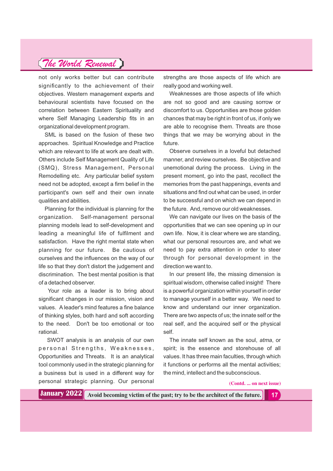not only works better but can contribute significantly to the achievement of their objectives. Western management experts and behavioural scientists have focused on the correlation between Eastern Spirituality and where Self Managing Leadership fits in an organizational development program.

SML is based on the fusion of these two approaches. Spiritual Knowledge and Practice which are relevant to life at work are dealt with. Others include Self Management Quality of Life (SMQ), Stress Management, Personal Remodelling etc. Any particular belief system need not be adopted, except a firm belief in the participant's own self and their own innate qualities and abilities.

Planning for the individual is planning for the organization. Self-management personal planning models lead to self-development and leading a meaningful life of fulfilment and satisfaction. Have the right mental state when planning for our future. Be cautious of ourselves and the influences on the way of our life so that they don't distort the judgement and discrimination. The best mental position is that of a detached observer.

Your role as a leader is to bring about significant changes in our mission, vision and values. A leader's mind features a fine balance of thinking styles, both hard and soft according to the need. Don't be too emotional or too rational.

SWOT analysis is an analysis of our own personal Strengths, Weaknesses, Opportunities and Threats. It is an analytical tool commonly used in the strategic planning for a business but is used in a different way for personal strategic planning. Our personal

strengths are those aspects of life which are really good and working well.

Weaknesses are those aspects of life which are not so good and are causing sorrow or discomfort to us. Opportunities are those golden chances that may be right in front of us, if only we are able to recognise them. Threats are those things that we may be worrying about in the future.

Observe ourselves in a loveful but detached manner, and review ourselves. Be objective and unemotional during the process. Living in the present moment, go into the past, recollect the memories from the past happenings, events and situations and find out what can be used, in order to be successful and on which we can depend in the future. And, remove our old weaknesses.

We can navigate our lives on the basis of the opportunities that we can see opening up in our own life. Now, it is clear where we are standing, what our personal resources are, and what we need to pay extra attention in order to steer through for personal development in the direction we want to.

In our present life, the missing dimension is spiritual wisdom, otherwise called insight! There is a powerful organization within yourself in order to manage yourself in a better way. We need to know and understand our inner organization. There are two aspects of us; the innate self or the real self, and the acquired self or the physical self.

The innate self known as the soul, *atma*, or spirit; is the essence and storehouse of all values. It has three main faculties, through which it functions or performs all the mental activities; the mind, intellect and the subconscious.

**(Contd. ... on next issue)**

**January 2022**

**Avoid becoming victim of the past; try to be the architect of the future. 17**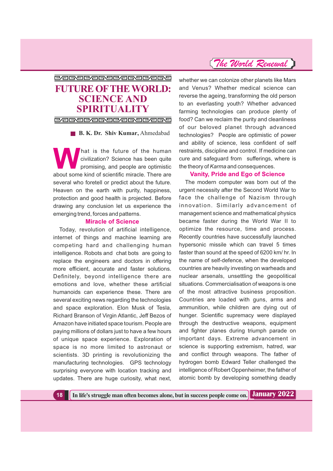### PAGORAGORAGORAGO **FUTURE OFTHE WORLD: SCIENCE AND SPIRITUALITY**

**PAGARAGARAGARA** 

**B. K. Dr. Shiv Kumar,** Ahmedabad

hat is the future of the human civilization? Science has been quite promising, and people are optimistic about some kind of scientific miracle. There are several who foretell or predict about the future. Heaven on the earth with purity, happiness, protection and good health is projected. Before drawing any conclusion let us experience the emerging trend, forces and patterns.

#### **Miracle of Science**

Today, revolution of artificial intelligence, internet of things and machine learning are competing hard and challenging human intelligence. Robots and chat bots are going to replace the engineers and doctors in offering more efficient, accurate and faster solutions. Definitely, beyond intelligence there are emotions and love, whether these artificial humanoids can experience these. There are several exciting news regarding the technologies and space exploration. Elon Musk of Tesla, Richard Branson of Virgin Atlantic, Jeff Bezos of Amazon have initiated space tourism. People are paying millions of dollars just to have a few hours of unique space experience. Exploration of space is no more limited to astronaut or scientists. 3D printing is revolutionizing the manufacturing technologies. GPS technology surprising everyone with location tracking and updates. There are huge curiosity, what next,

### *The World Renewal*

whether we can colonize other planets like Mars and Venus? Whether medical science can reverse the ageing, transforming the old person to an everlasting youth? Whether advanced farming technologies can produce plenty of food? Can we reclaim the purity and cleanliness of our beloved planet through advanced technologies? People are optimistic of power and ability of science, less confident of self restraints, discipline and control. If medicine can cure and safeguard from sufferings, where is the theory of *Karma* and consequences.

#### **Vanity, Pride and Ego of Science**

The modern computer was born out of the urgent necessity after the Second World War to face the challenge of Nazism through innovation. Similarly advancement of management science and mathematical physics became faster during the World War II to optimize the resource, time and process. Recently countries have successfully launched hypersonic missile which can travel 5 times faster than sound at the speed of 6200 km/ hr. In the name of self-defence, when the developed countries are heavily investing on warheads and nuclear arsenals, unsettling the geopolitical situations. Commercialisation of weapons is one of the most attractive business proposition. Countries are loaded with guns, arms and ammunition, while children are dying out of hunger. Scientific supremacy were displayed through the destructive weapons, equipment and fighter planes during triumph parade on important days. Extreme advancement in science is supporting extremism, hatred, war and conflict through weapons. The father of hydrogen bomb Edward Teller challenged the intelligence of Robert Oppenheimer, the father of atomic bomb by developing something deadly

**18 In life's struggle man often becomes alone, but in success people come on. January 2022**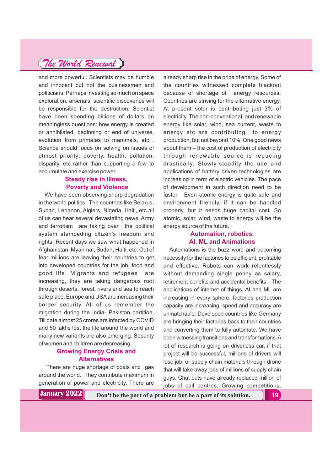and more powerful. Scientists may be humble and innocent but not the businessmen and politicians. Perhaps investing so much on space exploration, arsenals, scientific discoveries will be responsible for the destruction. Scientist have been spending billions of dollars on meaningless questions: how energy is created or annihilated, beginning or end of universe, evolution from primates to mammals, etc . Science should focus on solving on issues of utmost priority: poverty, health, pollution, disparity, etc rather than supporting a few to accumulate and exercise power.

#### **Steady rise in Illness, Poverty and Violence**

We have been observing sharp degradation in the world politics . The countries like Belarus, Sudan, Lebanon, Algiers, Nigeria, Haiti, etc all of us can hear several devastating news. Army and terrorism are taking over the political system stampeding citizen's freedom and rights. Recent days we saw what happened in Afghanistan, Myanmar, Sudan, Haiti, etc. Out of fear millions are leaving their countries to get into developed countries for the job, food and good life. Migrants and refugees are increasing, they are taking dangerous root through deserts, forest, rivers and sea to reach safe place. Europe and USAare increasing their border security. All of us remember the migration during the India- Pakistan partition. Till date almost 25 crores are infected by COVID and 50 lakhs lost the life around the world and many new variants are also emerging. Security of women and children are decreasing.

#### **Growing Energy Crisis and Alternatives**

There are huge shortage of coals and gas around the world. They contribute maximum in generation of power and electricity. There are

**January 2022 Don't be the part of a problem but be a part of its solution.** 19

already sharp rise in the price of energy. Some of the countries witnessed complete blackout because of shortage of energy resources. Countries are striving for the alternative energy. At present solar is contributing just 3% of electricity. The non-conventional and renewable energy like solar, wind, sea current, waste to energy etc are contributing to energy production, but not beyond 10%. One good news about them – the cost of production of electricity through renewable source is reducing drastically. Slowly-steadily the use and applications of battery driven technologies are increasing in term of electric vehicles. The pace of development in such direction need to be faster. Even atomic energy is quite safe and environment friendly, if it can be handled properly, but it needs huge capital cost. So atomic, solar, wind, waste to energy will be the energy source of the future.

#### **Automation, robotics, AI, ML and Animations**

Automations is the buzz word and becoming necessity for the factories to be efficient, profitable and effective. Robots can work relentlessly without demanding single penny as salary. retirement benefits and accidental benefits. The applications of internet of things, AI and ML are increasing in every sphere, factories production capacity are increasing, speed and accuracy are unmatchable. Developed countries like Germany are bringing their factories back to their countries and converting them to fully automate. We have been witnessing transitions and transformations.A lot of research is going on driverless car, if that project will be successful, millions of drivers will lose job, or supply chain materials through drone that will take away jobs of millions of supply chain guys. Chat bots have already replaced million of jobs of call centres. Growing competitions,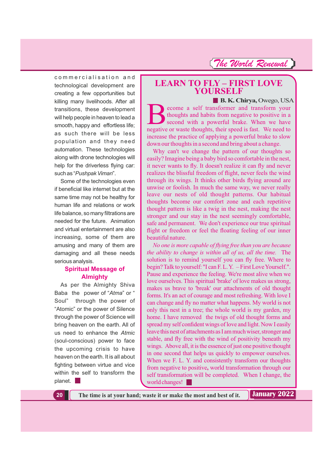commercialisation and technological development are creating a few opportunities but killing many livelihoods. After all transitions, these development will help people in heaven to lead a smooth, happy and effortless life; as such there will be less population and they need automation. These technologies along with drone technologies will help for the driverless flying car: such as "Pushpak Viman".

Some of the technologies even if beneficial like internet but at the same time may not be healthy for human life and relations or work life balance, so many filtrations are needed for the future. Animation and virtual entertainment are also increasing, some of them are amusing and many of them are damaging and all these needs serious analysis.

#### **Spiritual Message of Almighty**

As per the Almighty Shiva Baba the power of "Atma" or " Soul" through the power of "Atomic" or the power of Silence through the power of Science will bring heaven on the earth. All of us need to enhance the *Atmic* (soul-conscious) power to face the upcoming crisis to have heaven on the earth. It is all about fighting between virtue and vice within the self to transform the planet.

# **LEARN TO FLY FIRST LOVE – YOURSELF**

**B. K. Chirya,** Owego, USA

BECOME COME CONGED, COME COME COME CONGED SERVED TO thoughts and habits from negative to positive in a second with a powerful brake. When we have negative or waste thoughts, their speed is fast. We need to thoughts and habits from negative to positive in a second with a powerful brake. When we have negative or waste thoughts, their speed is fast. We need to increase the practice of applying a powerful brake to slow down our thoughts in a second and bring about a change.

Why can't we change the pattern of our thoughts so easily? Imagine being a baby bird so comfortable in the nest, it never wants to fly. It doesn't realize it can fly and never realizes the blissful freedom of flight, never feels the wind through its wings. It thinks other birds flying around are unwise or foolish. In much the same way, we never really leave our nests of old thought patterns. Our habitual thoughts become our comfort zone and each repetitive thought pattern is like a twig in the nest, making the nest stronger and our stay in the nest seemingly comfortable, safe and permanent. We don't experience our true spiritual flight or freedom or feel the floating feeling of our inner beautiful nature.

*No one is more capable of flying free than you are because the ability to change is within all of us, all the time.* The solution is to remind yourself you can fly free. Where to begin? Talk to yourself: "I can F. L. Y. – First Love Yourself.". Pause and experience the feeling. We're most alive when we love ourselves. This spiritual 'brake' of love makes us strong, makes us brave to 'break' our attachments of old thought forms. It's an act of courage and most refreshing. With love I can change and fly no matter what happens. My world is not only this nest in a tree; the whole world is my garden, my home. I have removed the twigs of old thought forms and spread my self confident wings of love and light. Now I easily leave this nest of attachments as I am much wiser, stronger and stable, and fly free with the wind of positivity beneath my wings. Above all, it is the essence of just one positive thought in one second that helps us quickly to empower ourselves. When we F. L. Y. and consistently transform our thoughts from negative to positive, world transformation through our self transformation will be completed. When I change, the world changes!

**20 The time is at your hand; waste it or make the most and best of it.**

**January 2022**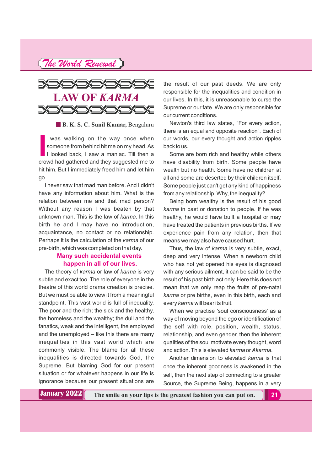*The World Renewal*



**B. K. S. C. Sunil Kumar, Bengaluru** 

**I I I**comeone from behind hit me on my head. As<br> **I I**looked back, I saw a maniac. Till then a<br>
crowd had gathered and they suggested me to was walking on the way once when someone from behind hit me on my head. As I looked back, I saw a maniac. Till then a hit him. But I immediately freed him and let him go.

I never saw that mad man before. And I didn't have any information about him. What is the relation between me and that mad person? Without any reason I was beaten by that unknown man. This is the law of *karma*. In this birth he and I may have no introduction, acquaintance, no contact or no relationship. Perhaps it is the calculation of the karma of our pre-birth, which was completed on that day.

#### **Many such accidental events happen in all of our lives.**

The theory of karma or law of karma is very subtle and exact too. The role of everyone in the theatre of this world drama creation is precise. But we must be able to view it from a meaningful standpoint. This vast world is full of inequality. The poor and the rich; the sick and the healthy, the homeless and the wealthy; the dull and the fanatics, weak and the intelligent, the employed and the unemployed  $-$  like this there are many inequalities in this vast world which are commonly visible. The blame for all these inequalities is directed towards God, the Supreme. But blaming God for our present situation or for whatever happens in our life is ignorance because our present situations are

the result of our past deeds. We are only responsible for the inequalities and condition in our lives. In this, it is unreasonable to curse the Supreme or our fate. We are only responsible for our current conditions.

Newton's third law states, "For every action, there is an equal and opposite reaction". Each of our words, our every thought and action ripples backto us.

Some are born rich and healthy while others have disability from birth. Some people have wealth but no health. Some have no children at all and some are deserted by their children itself. Some people just can't get any kind of happiness from any relationship. Why, the inequality?

Being born wealthy is the result of his good *karma* in past or donation to people. If he was healthy, he would have built a hospital or may have treated the patients in previous births. If we experience pain from any relation, then that means we may also have caused hurt.

Thus, the law of *karma* is very subtle, exact, deep and very intense. When a newborn child who has not yet opened his eyes is diagnosed with any serious ailment, it can be said to be the result of his past birth act only. Here this does not mean that we only reap the fruits of pre-natal *karma* or pre births, even in this birth, each and every karma will bear its fruit.

When we practise 'soul consciousness' as a way of moving beyond the ego or identification of the self with role, position, wealth, status, relationship, and even gender, then the inherent qualities of the soul motivate every thought, word and action. This is elevated *karma* or *Akarma*.

Another dimension to elevated karma is that once the inherent goodness is awakened in the self, then the next step of connecting to a greater Source, the Supreme Being, happens in a very

**January 2022** The smile on your lips is the greatest fashion you can put on. 21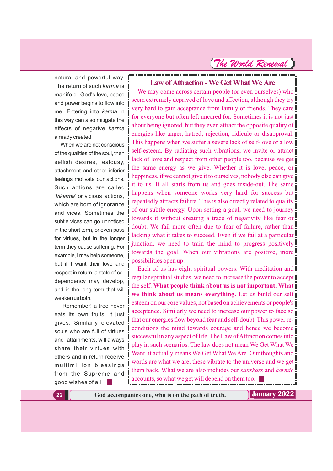natural and powerful way. The return of such karma is manifold. God's love, peace and power begins to flow into me. Entering into karma in this way can also mitigate the effects of negative *karma* alreadycreated.

When we are not conscious of the qualities of the soul, then selfish desires, jealousy, attachment and other inferior feelings motivate our actions. Such actions are called 'Vikarma' or vicious actions, which are born of ignorance and vices. Sometimes the subtle vices can go unnoticed in the short term, or even pass for virtues, but in the longer term they cause suffering. For example, I may help someone, but if I want their love and respect in return, a state of codependency may develop, and in the long term that will weaken us both.

Remember! a tree never eats its own fruits; it just gives. Similarly elevated souls who are full of virtues and attainments, will always share their virtues with others and in return receive multimillion blessings from the Supreme and good wishes of all.

**Law of Attraction - We Get What We Are** 

We may come across certain people (or even ourselves) who seem extremely deprived of love and affection, although they try very hard to gain acceptance from family or friends. They care for everyone but often left uncared for. Sometimes it is not just about being ignored, but they even attract the opposite quality of energies like anger, hatred, rejection, ridicule or disapproval. This happens when we suffer a severe lack of self-love or a low self-esteem. By radiating such vibrations, we invite or attract lack of love and respect from other people too, because we get the same energy as we give. Whether it is love, peace, or happiness, if we cannot give it to ourselves, nobody else can give it to us. It all starts from us and goes inside-out. The same happens when someone works very hard for success but repeatedly attracts failure. This is also directly related to quality of our subtle energy. Upon setting a goal, we need to journey towards it without creating a trace of negativity like fear or doubt. We fail more often due to fear of failure, rather than lacking what it takes to succeed. Even if we fail at a particular junction, we need to train the mind to progress positively towards the goal. When our vibrations are positive, more possibilities open up.

Each of us has eight spiritual powers. With meditation and regular spiritual studies, we need to increase the power to accept the self. **What people think about us is not important. What we think about us means everything.** Let us build our self esteem on our core values, not based on achievements or people's acceptance. Similarly we need to increase our power to face so that our energies flow beyond fear and self-doubt. This power reconditions the mind towards courage and hence we become successful in any aspect of life. The Law of Attraction comes into play in such scenarios. The law does not mean We Get What We Want, it actually means We Get What We Are. Our thoughts and words are what we are, these vibrate to the universe and we get them back. What we are also includes our *sanskars* and *karmic* accounts, so what we get will depend on them too.

**22 God accompanies one, who is on the path of truth. January 2022**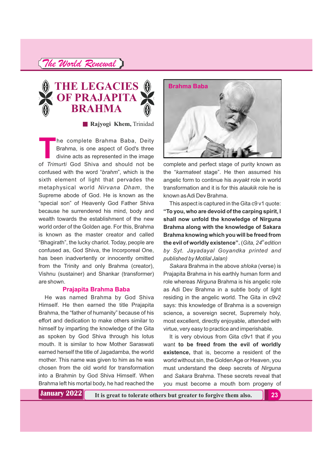

**Rajyogi Khem,** Trinidad

**T**he complete Brahma Baba, Deity Brahma, is one aspect of God's three divine acts as represented in the image of God Shiva and should not be *Trimurti* confused with the word "brahm", which is the sixth element of light that pervades the metaphysical world Nirvana Dham, the Supreme abode of God. He is known as the "special son" of Heavenly God Father Shiva because he surrendered his mind, body and wealth towards the establishment of the new world order of the Golden age. For this, Brahma is known as the master creator and called "Bhagirath", the lucky chariot. Today, people are confused as, God Shiva, the Incorporeal One, has been inadvertently or innocently omitted from the Trinity and only Brahma (creator), Vishnu (sustainer) and Shankar (transformer) are shown.

#### **Prajapita Brahma Baba**

He was named Brahma by God Shiva Himself. He then earned the title Prajapita Brahma, the "father of humanity" because of his effort and dedication to make others similar to himself by imparting the knowledge of the Gita as spoken by God Shiva through his lotus mouth. It is similar to how Mother Saraswati earned herself the title of Jagadamba, the world mother. This name was given to him as he was chosen from the old world for transformation into a Brahmin by God Shiva Himself. When Brahma left his mortal body, he had reached the



complete and perfect stage of purity known as the "karmateet stage". He then assumed his angelic form to continue his avyakt role in world transformation and it is for this *alaukik* role he is known asAdi Dev Brahma.

This aspect is captured in the Gita c9 v1 quote: **"To you, who are devoid of the carping spirit, I shall now unfold the knowledge of Nirguna Brahma along with the knowledge of Sakara Brahma knowing which you will be freed from the evil of worldly existence".** (Gita, 24<sup>th</sup> edition *by Syt. Jayadayal Goyandka printed and published by Motilal Jalan)*

Sakara Brahma in the above shloka (verse) is Prajapita Brahma in his earthly human form and role whereas Nirguna Brahma is his angelic role as Adi Dev Brahma in a subtle body of light residing in the angelic world. The Gita in c9v2 says: this knowledge of Brahma is a sovereign science, a sovereign secret, Supremely holy, most excellent, directly enjoyable, attended with virtue, very easy to practice and imperishable.

It is very obvious from Gita c9v1 that if you want **to be freed from the evil of worldly existence,** that is, become a resident of the world without sin, the GoldenAge or Heaven, you must understand the deep secrets of *Nirguna* and Brahma. These secrets reveal that *Sakara* you must become a mouth born progeny of

**January 2022**

**It is great to tolerate others but greater to forgive them also. 23**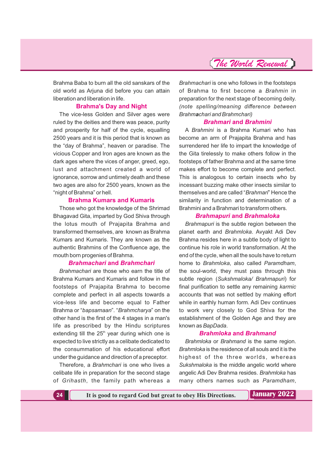

Brahma Baba to burn all the old sanskars of the old world as Arjuna did before you can attain liberation and liberation in life.

#### **Brahma's Day and Night**

The vice-less Golden and Silver ages were ruled by the deities and there was peace, purity and prosperity for half of the cycle, equalling 2500 years and it is this period that is known as the "day of Brahma", heaven or paradise. The vicious Copper and Iron ages are known as the dark ages where the vices of anger, greed, ego, lust and attachment created a world of ignorance, sorrow and untimely death and these two ages are also for 2500 years, known as the "night of Brahma" or hell.

#### **Brahma Kumars and Kumaris**

Those who got the knowledge of the Shrimad Bhagavad Gita, imparted by God Shiva through the lotus mouth of Prajapita Brahma and transformed themselves, are known as Brahma Kumars and Kumaris. They are known as the authentic Brahmins of the Confluence age, the mouth born progenies of Brahma.

#### **Brahmachari and Brahmchari**

*Brahmachari* are those who earn the title of Brahma Kumars and Kumaris and follow in the footsteps of Prajapita Brahma to become complete and perfect in all aspects towards a vice-less life and become equal to Father Brahma or "bapsamaan". "Brahmcharya" on the other hand is the first of the 4 stages in a man's life as prescribed by the Hindu scriptures extending till the  $25<sup>th</sup>$  year during which one is expected to live strictly as a celibate dedicated to the consummation of his educational effort under the guidance and direction of a preceptor.

Therefore, a *Brahmchari* is one who lives a celibate life in preparation for the second stage of , the family path whereas a *Grihasth*

*Brahmachari* is one who follows in the footsteps of Brahma to first become a *Brahmin* in preparation for the next stage of becoming deity. *(note spelling/meaning difference between Brahm chari and Brahmchari) a*

#### **Brahmari and Brahmini**

A *Brahmini* is a Brahma Kumari who has become an arm of Prajapita Brahma and has surrendered her life to impart the knowledge of the Gita tirelessly to make others follow in the footsteps of father Brahma and at the same time makes effort to become complete and perfect. This is analogous to certain insects who by incessant buzzing make other insects similar to themselves and are called "Brahmari" Hence the similarity in function and determination of a Brahmini and a Brahmari to transform others.

#### **Brahmapuri and Brahmaloka**

*Brahmapuri* is the subtle region between the planet earth and **Brahmloka**. Avyakt Adi Dev Brahma resides here in a subtle body of light to continue his role in world transformation. At the end of the cycle, when all the souls have to return home to Brahmloka, also called Paramdham, the soul-world, they must pass through this subtle region (Sukshmaloka/ Brahmapuri) for final purification to settle any remaining *karmic* accounts that was not settled by making effort while in earthly human form. Adi Dev continues to work very closely to God Shiva for the establishment of the Golden Age and they are known as BapDada.

#### **Brahmloka and Brahmand**

*Brahmloka or Brahmand* is the same region. *Brahmloka* is the residence of all souls and it is the highest of the three worlds, whereas *Sukshmaloka* is the middle angelic world where angelic Adi Dev Brahma resides. Brahmloka has many others names such as Paramdham,

**24 It is good to regard God but great to obey His Directions. January 2022**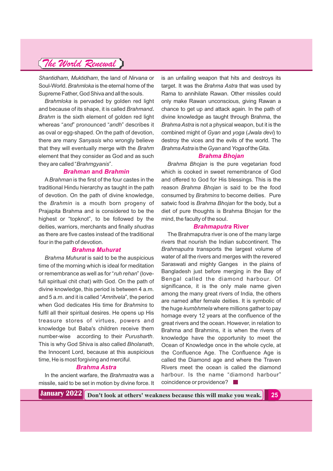*Shantidham, Muktidham, the land of Nirvana or* Soul-World. *Brahmloka* is the eternal home of the Supreme Father, God Shiva and all the souls.

*Brahmloka* is pervaded by golden red light and because of its shape, it is called *Brahmand***.** *Brahm* is the sixth element of golden red light whereas "and" pronounced "andh" describes it as oval or egg-shaped. On the path of devotion, there are many Sanyasis who wrongly believe that they will eventually merge with the *Brahm* element that they consider as God and as such they are called "*Brahmgyanis*".

#### *Brahman and Brahmin*

A Brahman is the first of the four castes in the traditional Hindu hierarchy as taught in the path of devotion. On the path of divine knowledge, the *Brahmin* is a mouth born progeny of Prajapita Brahma and is considered to be the highest or "topknot", to be followed by the deities, warriors, merchants and finally *shudras* as there are five castes instead of the traditional four in the path of devotion.

#### *Brahma Muhurat*

*Brahma Muhurat* is said to be the auspicious time of the morning which is ideal for meditation or remembrance as well as for "*ruh rehan*" (lovefull spiritual chit chat) with God. On the path of divine knowledge, this period is between 4 a.m. and 5 a.m. and it is called "Amritvela", the period when God dedicates His time for *Brahmins* to fulfil all their spiritual desires. He opens up His treasure stores of virtues, powers and knowledge but Baba's children receive them number-wise according to their *Purusharth*. This is why God Shiva is also called *Bholanath*, the Innocent Lord, because at this auspicious time, He is most forgiving and merciful.

#### *Brahma Astra*

In the ancient warfare, the *Brahmastra* was a missile, said to be set in motion by divine force. It is an unfailing weapon that hits and destroys its target. It was the *Brahma Astra* that was used by Rama to annihilate Rawan. Other missiles could only make Rawan unconscious, giving Rawan a chance to get up and attack again. In the path of divine knowledge as taught through Brahma, the *Brahma Astra* is not a physical weapon, but it is the combined might of Gyan and yoga ( Jwala devi) to destroy the vices and the evils of the world. The *Brahma Astra is the Gyan and Yoga* of the Gita.

#### *Brahma Bhojan*

*Brahma Bhojan* is the pure vegetarian food which is cooked in sweet remembrance of God and offered to God for His blessings. This is the reason Brahma Bhojan is said to be the food consumed by Brahmins to become deities. Pure satwic food is Brahma Bhojan for the body, but a diet of pure thoughts is Brahma Bhojan for the mind, the faculty of the soul.

#### *Brahmaputra* **River**

The Brahmaputra river is one of the many large rivers that nourish the Indian subcontinent. The *Brahmaputra* transports the largest volume of water of all the rivers and merges with the revered Saraswati and mighty Ganges in the plains of Bangladesh just before merging in the Bay of Bengal called the diamond harbour. Of significance, it is the only male name given among the many great rivers of India, the others are named after female deities. It is symbolic of the huge kumbhmela where millions gather to pay homage every 12 years at the confluence of the great rivers and the ocean. However, in relation to Brahma and Brahmins, it is when the rivers of knowledge have the opportunity to meet the Ocean of Knowledge once in the whole cycle, at the Confluence Age. The Confluence Age is called the Diamond age and where the Traven Rivers meet the ocean is called the diamond harbour. Is the name "diamond harbour" coincidence or providence?

**Don't look at others' weakness because this will make you weak. 25 January 2022**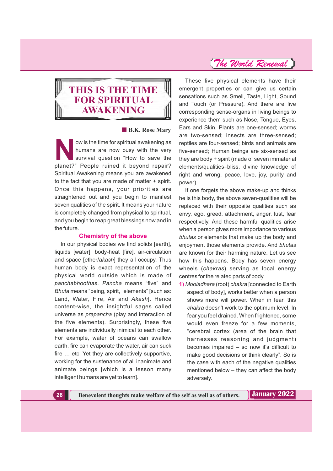### **THIS IS THE TIME FOR SPIRITUAL AWAKENING**

#### **B.K. Rose Mary**

ow is the time for spiritual awakening as<br>humans are now busy with the very<br>survival question "How to save the<br>planet?" Beople ruined it beyond repair? humans are now busy with the very survival question "How to save the planet?" People ruined it beyond repair? Spiritual Awakening means you are awakened to the fact that you are made of matter + spirit. Once this happens, your priorities are straightened out and you begin to manifest seven qualities of the spirit. It means your nature is completely changed from physical to spiritual, and you begin to reap great blessings now and in the future.

#### **Chemistry of the above**

In our physical bodies we find solids [earth], liquids [water], body-heat [fire], air-circulation and space [ether/akash] they all occupy. Thus human body is exact representation of the physical world outside which is made of panchabhoothas. Pancha means "five" and *Bhuta* means "being, spirit, elements" [such as: Land, Water, Fire, Air and Akash]. Hence content-wise, the insightful sages called universe as *prapancha* (play and interaction of the five elements). Surprisingly, these five elements are individually inimical to each other. For example, water of oceans can swallow earth, fire can evaporate the water, air can suck fire … etc. Yet they are collectively supportive, working for the sustenance of all inanimate and animate beings [which is a lesson many intelligent humans are yet to learn].

### *The World Renewal*

These five physical elements have their emergent properties or can give us certain sensations such as Smell, Taste, Light, Sound and Touch (or Pressure). And there are five corresponding sense-organs in living beings to experience them such as Nose, Tongue, Eyes, Ears and Skin. Plants are one-sensed; worms are two-sensed; insects are three-sensed; reptiles are four-sensed; birds and animals are five-sensed; Human beings are six-sensed as they are body + spirit (made of seven immaterial elements/qualities–bliss, divine knowledge of right and wrong, peace, love, joy, purity and power).

If one forgets the above make-up and thinks he is this body, the above seven-qualities will be replaced with their opposite qualities such as envy, ego, greed, attachment, anger, lust, fear respectively. And these harmful qualities arise when a person gives more importance to various *bhutas* or elements that make up the body and enjoyment those elements provide. And *bhutas* are known for their harming nature. Let us see how this happens. Body has seven energy wheels (chakras) serving as local energy centres for the related parts of body.

1) *Mooladhara* (root) chakra [connected to Earth aspect of body], works better when a person shows more will power. When in fear, this *chakra* doesn't work to the optimum level. In fear you feel drained. When frightened, some would even freeze for a few moments, "cerebral cortex (area of the brain that harnesses reasoning and judgment) becomes impaired – so now it's difficult to make good decisions or think clearly". So is the case with each of the negative qualities mentioned below – they can affect the body adversely.

**26 Benevolent thoughts make welfare of the self as well as of others. Juliary 2022**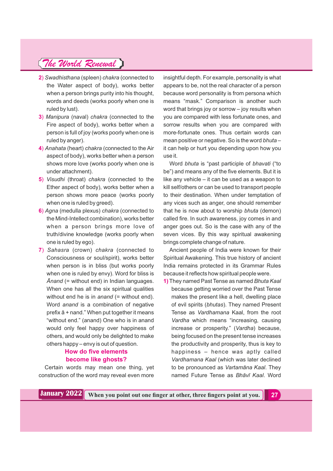- **2**) *Swadhisthana* (spleen) *chakra* (connected to the Water aspect of body), works better when a person brings purity into his thought, words and deeds (works poorly when one is ruled by lust).
- **3**) *Manipura* (naval) *chakra* (connected to the Fire aspect of body), works better when a person is full of joy (works poorly when one is ruled by anger).
- 4) *Anahata* (heart) *chakra* (connected to the Air aspect of body), works better when a person shows more love (works poorly when one is under attachment).
- **5**) *Visudhi* (throat) *chakra* (connected to the Ether aspect of body), works better when a person shows more peace (works poorly when one is ruled by greed).
- **6**) *Agna* (medulla plexus) *chakra* (connected to the Mind-Intellect combination), works better when a person brings more love of truth/divine knowledge (works poorly when one is ruled by ego).
- **7**) *Sahasra* (crown) *chakra* (connected to Consciousness or soul/spirit), works better when person is in bliss (but works poorly when one is ruled by envy). Word for bliss is *Ānand* (= without end) in Indian languages. When one has all the six spiritual qualities without end he is in *anand* (= without end). Word *anand* is a combination of negative prefix ā + nand." When put together it means "without end." (anand) One who is in anand would only feel happy over happiness of others, and would only be delighted to make others happy – envy is out of question.

### **How do five elements become like ghosts?**

Certain words may mean one thing, yet construction of the word may reveal even more

insightful depth. For example, personality is what appears to be, not the real character of a person because word personality is from persona which means "mask." Comparison is another such word that brings joy or sorrow – joy results when you are compared with less fortunate ones, and sorrow results when you are compared with more-fortunate ones. Thus certain words can mean positive or negative. So is the word *bhuta* – it can help or hurt you depending upon how you use it.

Word *bhuta* is "past participle of *bhavati* ("to be") and means any of the five elements. But it is like any vehicle – it can be used as a weapon to kill self/others or can be used to transport people to their destination. When under temptation of any vices such as anger, one should remember that he is now about to worship *bhuta* (demon) called fire. In such awareness, joy comes in and anger goes out. So is the case with any of the seven vices. By this way spiritual awakening brings complete change of nature.

Ancient people of India were known for their Spiritual Awakening. This true history of ancient India remains protected in its Grammar Rules because it reflects how spiritual people were.

**1)** They named Past Tense as named *Bhuta Kaal* because getting worried over the Past Tense makes the present like a hell, dwelling place of evil spirits (*bhutas*). They named Present Tense as *Vardhamana* Kaal, from the root *Vardha* which means "increasing, causing increase or prosperity." (Vardha) because, being focused on the present tense increases the productivity and prosperity, thus is key to happiness – hence was aptly called *Vardhamana Kaal* (which was later declined to be pronounced as *Vartamāna Kaal*. They named Future Tense as **Bhāvī Kaal**, Word

**January 2022** When you point out one finger at other, three fingers point at you.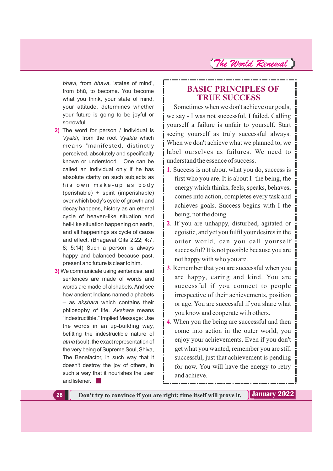bhavi, from bhava, 'states of mind', from bhū, to become. You become what you think, your state of mind, your attitude, determines whether your future is going to be joyful or sorrowful.

- **2)** The word for person / individual is *Vyakti*, from the root *Vyakta* which means "manifested, distinctly perceived, absolutely and specifically known or understood. One can be called an individual only if he has absolute clarity on such subjects as his own make-up as body (perishable) + spirit (imperishable) over which body's cycle of growth and decay happens, history as an eternal cycle of heaven-like situation and hell-like situation happening on earth, and all happenings as cycle of cause and effect. (Bhagavat Gita 2:22; 4:7, 8; 5:14) Such a person is always happy and balanced because past, present and future is clear to him.
- **3)** We communicate using sentences, and sentences are made of words and words are made of alphabets. And see how ancient Indians named alphabets  $-$  as akshara which contains their philosophy of life. Akshara means "indestructible." Implied Message: Use the words in an up-building way, befitting the indestructible nature of *atma* (soul), the exact representation of the very being of Supreme Soul, Shiva, The Benefactor, in such way that it doesn't destroy the joy of others, in such a way that it nourishes the user and listener. |

### **BASIC PRINCIPLES OF TRUE SUCCESS**

Sometimes when we don't achieve our goals, we say - I was not successful, I failed. Calling yourself a failure is unfair to yourself. Start seeing yourself as truly successful always. When we don't achieve what we planned to, we label ourselves as failures. We need to understand the essence of success.

- **1**. Success is not about what you do, success is first who you are. It is about I- the being, the energy which thinks, feels, speaks, behaves, comes into action, completes every task and achieves goals. Success begins with I the being, not the doing.
- **2**. If you are unhappy, disturbed, agitated or egoistic, and yet you fulfil your desires in the outer world, can you call yourself successful? It is not possible because you are not happy with who you are.
- **3**. Remember that you are successful when you are happy, caring and kind. You are successful if you connect to people irrespective of their achievements, position or age. You are successful if you share what you know and cooperate with others.
- **4**. When you the being are successful and then come into action in the outer world, you enjoy your achievements. Even if you don't get what you wanted, remember you are still successful, just that achievement is pending for now. You will have the energy to retry and achieve.

**28 Don't try to convince if you are right; time itself will prove it. Juliary 2022**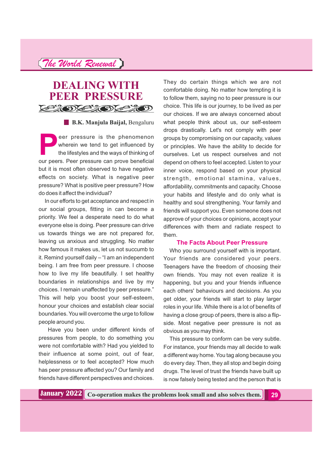### **DEALING WITH PEER PRESSURE**  $\mathcal{L} \otimes \mathcal{L} \otimes \mathcal{L} \otimes \mathcal{L} \otimes \mathcal{L}$

**B.K. Manjula Baijal,** Bengaluru

eer pressure is the phenomenon wherein we tend to get influenced by the lifestyles and the ways of thinking of our peers. Peer pressure can prove beneficial but it is most often observed to have negative effects on society. What is negative peer pressure? What is positive peer pressure? How do does it affect the individual?

In our efforts to get acceptance and respect in our social groups, fitting in can become a priority. We feel a desperate need to do what everyone else is doing. Peer pressure can drive us towards things we are not prepared for, leaving us anxious and struggling. No matter how famous it makes us, let us not succumb to it. Remind yourself daily – "I am an independent being. I am free from peer pressure. I choose how to live my life beautifully. I set healthy boundaries in relationships and live by my choices. I remain unaffected by peer pressure." This will help you boost your self-esteem, honour your choices and establish clear social boundaries. You will overcome the urge to follow people around you.

Have you been under different kinds of pressures from people, to do something you were not comfortable with? Had you yielded to their influence at some point, out of fear, helplessness or to feel accepted? How much has peer pressure affected you? Our family and friends have different perspectives and choices.

They do certain things which we are not comfortable doing. No matter how tempting it is to follow them, saying no to peer pressure is our choice. This life is our journey, to be lived as per our choices. If we are always concerned about what people think about us, our self-esteem drops drastically. Let's not comply with peer groups by compromising on our capacity, values or principles. We have the ability to decide for ourselves. Let us respect ourselves and not depend on others to feel accepted. Listen to your inner voice, respond based on your physical strength, emotional stamina, values, affordability, commitments and capacity. Choose your habits and lifestyle and do only what is healthy and soul strengthening. Your family and friends will support you. Even someone does not approve of your choices or opinions, accept your differences with them and radiate respect to them.

#### **The Facts About Peer Pressure**

Who you surround yourself with is important. Your friends are considered your peers. Teenagers have the freedom of choosing their own friends. You may not even realize it is happening, but you and your friends influence each others' behaviours and decisions. As you get older, your friends will start to play larger roles in your life. While there is a lot of benefits of having a close group of peers, there is also a flipside. Most negative peer pressure is not as obvious as you may think.

This pressure to conform can be very subtle. For instance, your friends may all decide to walk a different way home. You tag along because you do every day. Then, they all stop and begin doing drugs. The level of trust the friends have built up is now falsely being tested and the person that is

**Co-operation makes the problems look small and also solves them. 29**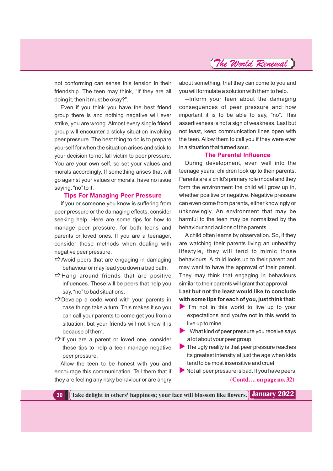not conforming can sense this tension in their friendship. The teen may think, "If they are all doing it, then it must be okay?".

Even if you think you have the best friend group there is and nothing negative will ever strike, you are wrong. Almost every single friend group will encounter a sticky situation involving peer pressure. The best thing to do is to prepare yourself for when the situation arises and stick to your decision to not fall victim to peer pressure. You are your own self, so set your values and morals accordingly. If something arises that will go against your values or morals, have no issue saying, "no" to it.

#### **Tips For Managing Peer Pressure**

If you or someone you know is suffering from peer pressure or the damaging effects, consider seeking help. Here are some tips for how to manage peer pressure, for both teens and parents or loved ones. If you are a teenager, consider these methods when dealing with negative peer pressure.

- -Avoid peers that are engaging in damaging behaviour or may lead you down a bad path.
- -Hang around friends that are positive influences. These will be peers that help you say, "no" to bad situations.
- -Develop a code word with your parents in case things take a turn. This makes it so you can call your parents to come get you from a situation, but your friends will not know it is because of them.
- -If you are a parent or loved one, consider these tips to help a teen manage negative peer pressure.

Allow the teen to be honest with you and encourage this communication. Tell them that if they are feeling any risky behaviour or are angry

about something, that they can come to you and you will formulate a solution with them to help.

--Inform your teen about the damaging consequences of peer pressure and how important it is to be able to say, "no". This assertiveness is not a sign of weakness. Last but not least, keep communication lines open with the teen. Allow them to call you if they were ever in a situation that turned sour.

#### **The Parental Influence**

During development, even well into the teenage years, children look up to their parents. Parents are a child's primary role model and they form the environment the child will grow up in, whether positive or negative. Negative pressure can even come from parents, either knowingly or unknowingly. An environment that may be harmful to the teen may be normalized by the behaviour and actions of the parents.

A child often learns by observation. So, if they are watching their parents living an unhealthy lifestyle, they will tend to mimic those behaviours. A child looks up to their parent and may want to have the approval of their parent. They may think that engaging in behaviours similar to their parents will grant that approval.

**Last but not the least would like to conclude with some tips for each of you, just think that:**

- I'm not in this world to live up to your expectations and you're not in this world to live up to mine.
- $\blacktriangleright$  What kind of peer pressure you receive says a lot about your peer group.
- The ugly reality is that peer pressure reaches its greatest intensity at just the age when kids tend to be most insensitive and cruel.
- $\blacktriangleright$  Not all peer pressure is bad. If you have peers **(Contd. ... on page no. 32)**

**30 Take delight in others' happiness; your face will blossom like flowers. January 2022**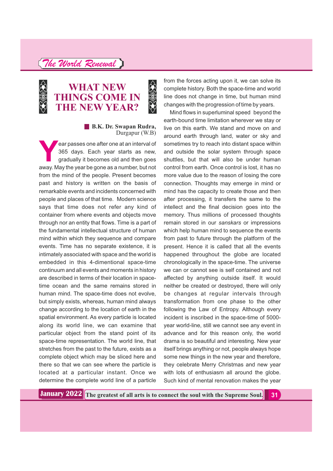### **WHAT NEW THINGS COME IN THE NEW YEAR?**

# College C **B.K. Dr. Swapan Rudra,**

Durgapur (W.B)

**Y**ear passes one after one at an interval of 365 days. Each year starts as new, gradually it becomes old and then goes away. May the year be gone as a number, but not from the mind of the people. Present becomes past and history is written on the basis of remarkable events and incidents concerned with people and places of that time. Modern science says that time does not refer any kind of container from where events and objects move through nor an entity that flows. Time is a part of the fundamental intellectual structure of human mind within which they sequence and compare events. Time has no separate existence, it is intimately associated with space and the world is embedded in this 4-dimentional space-time continuum and all events and moments in history are described in terms of their location in spacetime ocean and the same remains stored in human mind. The space-time does not evolve, but simply exists, whereas, human mind always change according to the location of earth in the spatial environment. As every particle is located along its world line, we can examine that particular object from the stand point of its space-time representation. The world line, that stretches from the past to the future, exists as a complete object which may be sliced here and there so that we can see where the particle is located at a particular instant. Once we determine the complete world line of a particle

from the forces acting upon it, we can solve its complete history. Both the space-time and world line does not change in time, but human mind changes with the progression of time by years.

Mind flows in superluminal speed beyond the earth-bound time limitation wherever we stay or live on this earth. We stand and move on and around earth through land, water or sky and sometimes try to reach into distant space within and outside the solar system through space shuttles, but that will also be under human control from earth. Once control is lost, it has no more value due to the reason of losing the core connection. Thoughts may emerge in mind or mind has the capacity to create those and then after processing, it transfers the same to the intellect and the final decision goes into the memory. Thus millions of processed thoughts remain stored in our sanskars or impressions which help human mind to sequence the events from past to future through the platform of the present. Hence it is called that all the events happened throughout the globe are located chronologically in the space-time. The universe we can or cannot see is self contained and not affected by anything outside itself. It would neither be created or destroyed, there will only be changes at regular intervals through transformation from one phase to the other following the Law of Entropy. Although every incident is inscribed in the space-time of 5000 year world-line, still we cannot see any event in advance and for this reason only, the world drama is so beautiful and interesting. New year itself brings anything or not, people always hope some new things in the new year and therefore, they celebrate Merry Christmas and new year with lots of enthusiasm all around the globe. Such kind of mental renovation makes the year

**The greatest of all arts is to connect the soul with the Supreme Soul. 31 January 2022**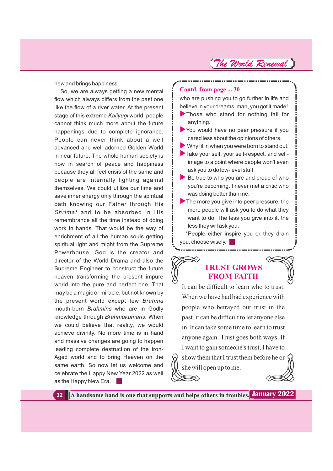new and brings happiness.

So, we are always getting a new mental flow which always differs from the past one like the flow of a river water. At the present stage of this extreme Kaliyugi world, people cannot think much more about the future happenings due to complete ignorance. People can never think about a well advanced and well adorned Golden World in near future. The whole human society is now in search of peace and happiness because they all feel crisis of the same and people are internally fighting against themselves. We could utilize our time and save inner energy only through the spiritual path knowing our Father through His *Shrimat* and to be absorbed in His remembrance all the time instead of doing work in hands. That would be the way of enrichment of all the human souls getting spiritual light and might from the Supreme Powerhouse. God is the creator and director of the World Drama and also the Supreme Engineer to construct the future heaven transforming the present impure world into the pure and perfect one. That may be a magic or miracle, but not known by the present world except few *Brahma* mouth-born Brahmins who are in Godly knowledge through *Brahmakumaris*. When we could believe that reality, we would achieve divinity. No more time is in hand and massive changes are going to happen leading complete destruction of the Iron-Aged world and to bring Heaven on the same earth. So now let us welcome and celebrate the Happy New Year 2022 as well as the Happy New Era.

#### **Contd. from page ... 30**

who are pushing you to go further in life and believe in your dreams, man, you got it made! Those who stand for nothing fall for

- anything. You would have no peer pressure if you cared less about the opinions of others.
- Why fit in when you were born to stand out.
- Take your self, your self-respect, and selfimage to a point where people won't even ask you to do low-level stuff.
- $\blacktriangleright$  Be true to who you are and proud of who you're becoming. I never met a critic who was doing better than me.

\*People either inspire you or they drain you, choose wisely.

### **TRUST GROWS FROM FAITH**

It can be difficult to learn who to trust. When we have had bad experience with people who betrayed our trust in the past, it can be difficult to let anyone else in. It can take some time to learn to trust anyone again. Trust goes both ways. If I want to gain someone's trust, I have to show them that I trust them before he or she will open up to me.

**32 A handsome hand is one that supports and helps others in troubles. January 2022**

The more you give into peer pressure, the more people will ask you to do what they want to do. The less you give into it, the less they will ask you.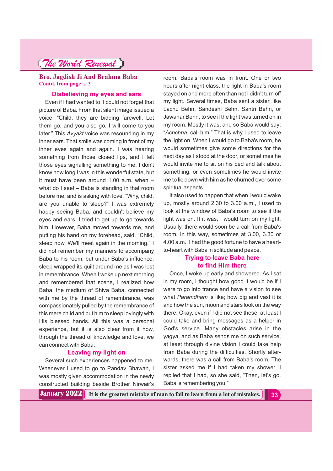#### **Bro. Jagdish Ji And Brahma Baba Contd. from page ... 3**

#### **Disbelieving my eyes and ears**

Even if I had wanted to, I could not forget that picture of Baba. From that silent image issued a voice: "Child, they are bidding farewell. Let them go, and you also go. I will come to you later." This Avyakt voice was resounding in my inner ears. That smile was coming in front of my inner eyes again and again. I was hearing something from those closed lips, and I felt those eyes signalling something to me. I don't know how long I was in this wonderful state, but it must have been around 1.00 a.m. when – what do I see! – Baba is standing in that room before me, and is asking with love, "Why, child, are you unable to sleep?" I was extremely happy seeing Baba, and couldn't believe my eyes and ears. I tried to get up to go towards him. However, Baba moved towards me, and putting his hand on my forehead, said, "Child, sleep now. We'll meet again in the morning." I did not remember my manners to accompany Baba to his room, but under Baba's influence, sleep wrapped its quilt around me as I was lost in remembrance. When I woke up next morning and remembered that scene, I realized how Baba, the medium of Shiva Baba, connected with me by the thread of remembrance, was compassionately pulled by the remembrance of this mere child and put him to sleep lovingly with His blessed hands. All this was a personal experience, but it is also clear from it how, through the thread of knowledge and love, we can connect with Baba.

#### **Leaving my light on**

Several such experiences happened to me. Whenever I used to go to Pandav Bhawan, I was mostly given accommodation in the newly constructed building beside Brother Nirwair's

room. Baba's room was in front. One or two hours after night class, the light in Baba's room stayed on and more often than not I didn't turn off my light. Several times, Baba sent a sister, like Lachu Behn, Sandeshi Behn, Santri Behn, or Jawahar Behn, to see if the light was turned on in my room. Mostly it was, and so Baba would say: "Achchha, call him." That is why I used to leave the light on. When I would go to Baba's room, he would sometimes give some directions for the next day as I stood at the door, or sometimes he would invite me to sit on his bed and talk about something, or even sometimes he would invite me to lie down with him as he churned over some spiritual aspects.

It also used to happen that when I would wake up, mostly around 2.30 to 3.00 a.m., I used to look at the window of Baba's room to see if the light was on. If it was, I would turn on my light. Usually, there would soon be a call from Baba's room. In this way, sometimes at 3.00, 3.30 or 4.00 a.m., I had the good fortune to have a heartto-heart with Baba in solitude and peace.

#### **Trying to leave Baba here to find Him there**

Once, I woke up early and showered. As I sat in my room, I thought how good it would be if I were to go into trance and have a vision to see what Paramdham is like; how big and vast it is and how the sun, moon and stars look on the way there. Okay, even if I did not see these, at least I could take and bring messages as a helper in God's service. Many obstacles arise in the yagya, and as Baba sends me on such service, at least through divine vision I could take help from Baba during the difficulties. Shortly afterwards, there was a call from Baba's room. The sister asked me if I had taken my shower. I replied that I had, so she said, "Then, let's go. Baba is remembering you."

**January 2022** It is the greatest mistake of man to fail to learn from a lot of mistakes.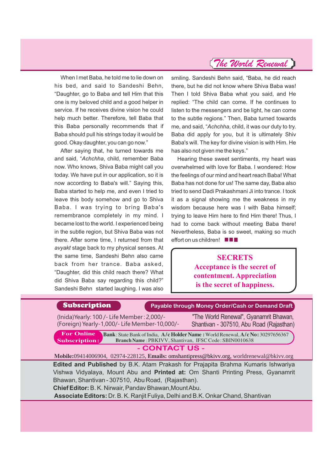When I met Baba, he told me to lie down on his bed, and said to Sandeshi Behn, "Daughter, go to Baba and tell Him that this one is my beloved child and a good helper in service. If he receives divine vision he could help much better. Therefore, tell Baba that this Baba personally recommends that if Baba should pull his strings today it would be good. Okay daughter, you can go now."

After saying that, he turned towards me and said, "Achchha, child, remember Baba now. Who knows, Shiva Baba might call you today. We have put in our application, so it is now according to Baba's will." Saying this, Baba started to help me, and even I tried to leave this body somehow and go to Shiva Baba. I was trying to bring Baba's remembrance completely in my mind. I became lost to the world. I experienced being in the subtle region, but Shiva Baba was not there. After some time, I returned from that *avyakt* stage back to my physical senses. At the same time, Sandeshi Behn also came back from her trance. Baba asked, "Daughter, did this child reach there? What did Shiva Baba say regarding this child?" Sandeshi Behn started laughing. I was also

smiling. Sandeshi Behn said, "Baba, he did reach there, but he did not know where Shiva Baba was! Then I told Shiva Baba what you said, and He replied: "The child can come. If he continues to listen to the messengers and be light, he can come to the subtle regions." Then, Baba turned towards me, and said, "*Achchha*, child, it was our duty to try. Baba did apply for you, but it is ultimately Shiv Baba's will. The key for divine vision is with Him. He has also not given me the keys."

Hearing these sweet sentiments, my heart was overwhelmed with love for Baba. I wondered: How the feelings of our mind and heart reach Baba! What Baba has not done for us! The same day, Baba also tried to send Dadi Prakashmani Ji into trance. I took it as a signal showing me the weakness in my wisdom because here was I with Baba himself; trying to leave Him here to find Him there! Thus, I had to come back without meeting Baba there! Nevertheless, Baba is so sweet, making so much effort on us children! **III** 

### **SECRETS Acceptance is the secret of contentment. Appreciation is the secret of happiness.**

**Subscription Case Act Avec Avable through Money Order/Cash or Demand Draft** 

(Inida)Yearly: 100 /- Life Member : 2,000/- (Foreign) Yearly-1,000/- Life Member-10,000/-

"The World Renewal", Gyanamrit Bhawan, Shantivan - 307510, Abu Road (Rajasthan)

**Bank**: State Bank ofIndia, **A/c Holder Name :**World Renewal,**A/c No:** 30297656367 Branch Name : PBKIVV, Shantivan, IFSC Code: SBIN0010638 **For Online Subscription:**

#### **- CONTACT US -**

**Mobile:**09414006904, 02974-228125, **Emails:** omshantipress@bkivv.org, worldrenewal@bkivv.org **Edited and Published** by B.K. Atam Prakash for Prajapita Brahma Kumaris Ishwariya Vishwa Vidyalaya, Mount Abu and **Printed at:** Om Shanti Printing Press, Gyanamrit Bhawan, Shantivan - 307510, Abu Road, (Rajasthan).

**Chief Editor:**B. K. Nirwair, Pandav Bhawan,MountAbu.

**Associate Editors:** Dr. B. K. Ranjit Fuliya, Delhi and B.K. Onkar Chand, Shantivan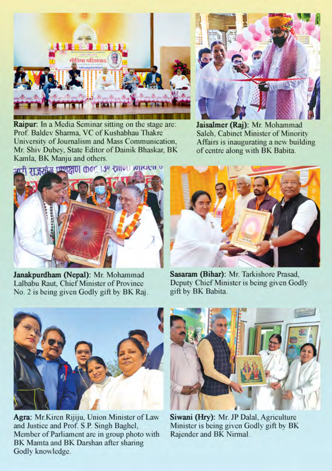

**Raipur:** In a Media Seminar sitting on the stage are: Prof. Baldev Sharma, VC of Kushabhau Thakre University of Journalism and Mass Communication. Mr. Shiv Dubey, State Editor of Dainik Bhaskar, BK Kamla, BK Manju and others.



Jaisalmer (Raj): Mr. Mohammad Saleh, Cabinet Minister of Minority Affairs is inaugurating a new building of centre along with BK Babita.



Janakpurdham (Nepal): Mr. Mohammad Lalbabu Raut, Chief Minister of Province No. 2 is being given Godly gift by BK Raj.



Sasaram (Bihar): Mr. Tarkishore Prasad, Deputy Chief Minister is being given Godly gift by BK Babita.



Agra: Mr.Kiren Rijiju, Union Minister of Law and Justice and Prof. S.P. Singh Baghel, Member of Parliament are in group photo with BK Mamta and BK Darshan after sharing Godly knowledge.



Siwani (Hry): Mr. JP Dalal, Agriculture Minister is being given Godly gift by BK Rajender and BK Nirmal.